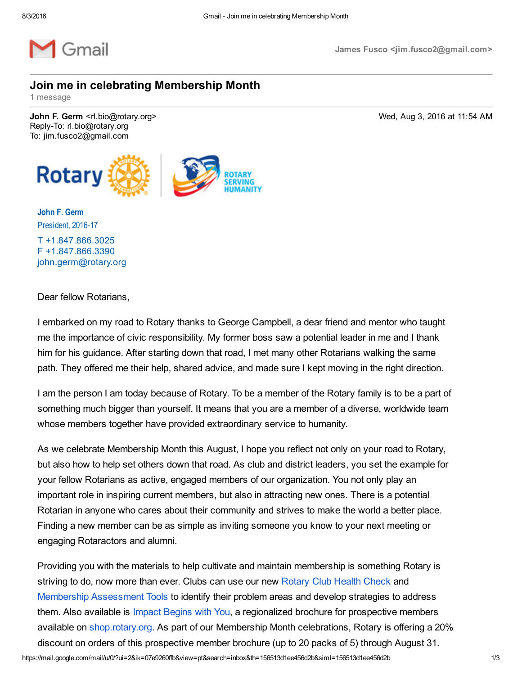

## Join me in celebrating Membership Month

1 message

John F. Germ <rl.bio@rotary.org> Wed, Aug 3, 2016 at 11:54 AM Reply-To: rl.bio@rotary.org To: jim.fusco2@gmail.com



John F. Germ President, 2016-17 T [+1.847.866.3025](tel:1.847.866.3025) F [+1.847.866.3390](tel:1.847.556.2187) [john.germ@rotary.org](mailto:john.germ@rotary.org)

Dear fellow Rotarians,

I embarked on my road to Rotary thanks to George Campbell, a dear friend and mentor who taught me the importance of civic responsibility. My former boss saw a potential leader in me and I thank him for his guidance. After starting down that road, I met many other Rotarians walking the same path. They offered me their help, shared advice, and made sure I kept moving in the right direction.

I am the person I am today because of Rotary. To be a member of the Rotary family is to be a part of something much bigger than yourself. It means that you are a member of a diverse, worldwide team whose members together have provided extraordinary service to humanity.

As we celebrate Membership Month this August, I hope you reflect not only on your road to Rotary, but also how to help set others down that road. As club and district leaders, you set the example for your fellow Rotarians as active, engaged members of our organization. You not only play an important role in inspiring current members, but also in attracting new ones. There is a potential Rotarian in anyone who cares about their community and strives to make the world a better place. Finding a new member can be as simple as inviting someone you know to your next meeting or engaging Rotaractors and alumni.

Providing you with the materials to help cultivate and maintain membership is something Rotary is striving to do, now more than ever. Clubs can use our new [Rotary](http://echo4.bluehornet.com/ct/89789715:TEAwTfYN_:m:1:2626991568:7E55E6F9FD8F202AAEB9350EEEA4A8C6:r) Club Health Check and Membership [Assessment](http://echo4.bluehornet.com/ct/89789716:TEAwTfYN_:m:1:2626991568:7E55E6F9FD8F202AAEB9350EEEA4A8C6:r) Tools to identify their problem areas and develop strategies to address them. Also available is Impact [Begins](http://echo4.bluehornet.com/ct/89789717:TEAwTfYN_:m:1:2626991568:7E55E6F9FD8F202AAEB9350EEEA4A8C6:r) with You, a regionalized brochure for prospective members available on [shop.rotary.org](http://echo4.bluehornet.com/ct/89789718:TEAwTfYN_:m:1:2626991568:7E55E6F9FD8F202AAEB9350EEEA4A8C6:r). As part of our Membership Month celebrations, Rotary is offering a 20% discount on orders of this prospective member brochure (up to 20 packs of 5) through August 31.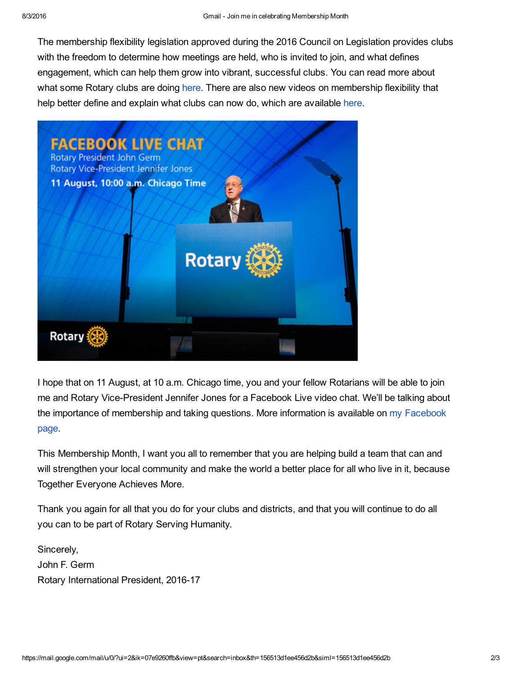The membership flexibility legislation approved during the 2016 Council on Legislation provides clubs with the freedom to determine how meetings are held, who is invited to join, and what defines engagement, which can help them grow into vibrant, successful clubs. You can read more about what some Rotary clubs are doing [here.](http://echo4.bluehornet.com/ct/89789719:TEAwTfYN_:m:1:2626991568:7E55E6F9FD8F202AAEB9350EEEA4A8C6:r) There are also new videos on membership flexibility that help better define and explain what clubs can now do, which are available [here.](http://echo4.bluehornet.com/ct/89789720:TEAwTfYN_:m:1:2626991568:7E55E6F9FD8F202AAEB9350EEEA4A8C6:r)



I hope that on 11 August, at 10 a.m. Chicago time, you and your fellow Rotarians will be able to join me and Rotary Vice-President Jennifer Jones for a Facebook Live video chat. We'll be talking about the importance of [membership](http://echo4.bluehornet.com/ct/89789721:TEAwTfYN_:m:1:2626991568:7E55E6F9FD8F202AAEB9350EEEA4A8C6:r) and taking questions. More information is available on my Facebook page.

This Membership Month, I want you all to remember that you are helping build a team that can and will strengthen your local community and make the world a better place for all who live in it, because Together Everyone Achieves More.

Thank you again for all that you do for your clubs and districts, and that you will continue to do all you can to be part of Rotary Serving Humanity.

Sincerely, John F. Germ Rotary International President, 2016-17